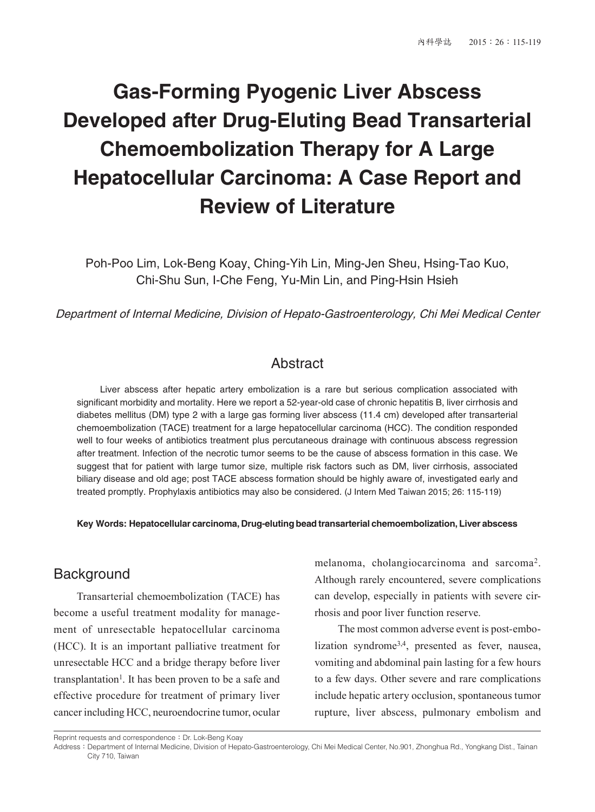# **Gas-Forming Pyogenic Liver Abscess Developed after Drug-Eluting Bead Transarterial Chemoembolization Therapy for A Large Hepatocellular Carcinoma: A Case Report and Review of Literature**

Poh-Poo Lim, Lok-Beng Koay, Ching-Yih Lin, Ming-Jen Sheu, Hsing-Tao Kuo, Chi-Shu Sun, I-Che Feng, Yu-Min Lin, and Ping-Hsin Hsieh

Department of Internal Medicine, Division of Hepato-Gastroenterology, Chi Mei Medical Center

## Abstract

Liver abscess after hepatic artery embolization is a rare but serious complication associated with significant morbidity and mortality. Here we report a 52-year-old case of chronic hepatitis B, liver cirrhosis and diabetes mellitus (DM) type 2 with a large gas forming liver abscess (11.4 cm) developed after transarterial chemoembolization (TACE) treatment for a large hepatocellular carcinoma (HCC). The condition responded well to four weeks of antibiotics treatment plus percutaneous drainage with continuous abscess regression after treatment. Infection of the necrotic tumor seems to be the cause of abscess formation in this case. We suggest that for patient with large tumor size, multiple risk factors such as DM, liver cirrhosis, associated biliary disease and old age; post TACE abscess formation should be highly aware of, investigated early and treated promptly. Prophylaxis antibiotics may also be considered. (J Intern Med Taiwan 2015; 26: 115-119)

**Key Words: Hepatocellular carcinoma, Drug-eluting bead transarterial chemoembolization, Liver abscess**

#### **Background**

Transarterial chemoembolization (TACE) has become a useful treatment modality for management of unresectable hepatocellular carcinoma (HCC). It is an important palliative treatment for unresectable HCC and a bridge therapy before liver transplantation<sup>1</sup>. It has been proven to be a safe and effective procedure for treatment of primary liver cancer including HCC, neuroendocrine tumor, ocular

melanoma, cholangiocarcinoma and sarcoma2. Although rarely encountered, severe complications can develop, especially in patients with severe cirrhosis and poor liver function reserve.

The most common adverse event is post-embolization syndrome3,4, presented as fever, nausea, vomiting and abdominal pain lasting for a few hours to a few days. Other severe and rare complications include hepatic artery occlusion, spontaneous tumor rupture, liver abscess, pulmonary embolism and

Reprint requests and correspondence: Dr. Lok-Beng Koay

Address: Department of Internal Medicine, Division of Hepato-Gastroenterology, Chi Mei Medical Center, No.901, Zhonghua Rd., Yongkang Dist., Tainan City 710, Taiwan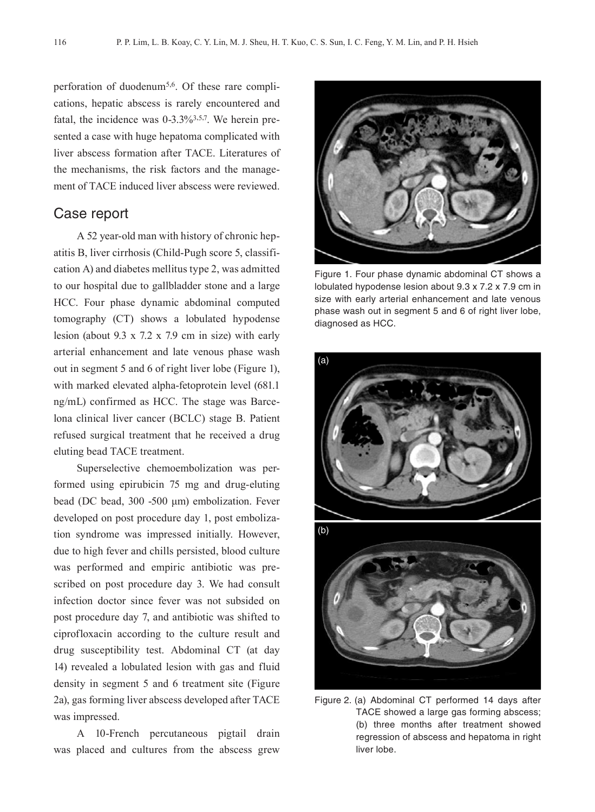perforation of duodenum<sup>5,6</sup>. Of these rare complications, hepatic abscess is rarely encountered and fatal, the incidence was  $0-3.3\frac{3}{3.57}$ . We herein presented a case with huge hepatoma complicated with liver abscess formation after TACE. Literatures of the mechanisms, the risk factors and the management of TACE induced liver abscess were reviewed.

#### Case report

A 52 year-old man with history of chronic hepatitis B, liver cirrhosis (Child-Pugh score 5, classification A) and diabetes mellitus type 2, was admitted to our hospital due to gallbladder stone and a large HCC. Four phase dynamic abdominal computed tomography (CT) shows a lobulated hypodense lesion (about 9.3 x 7.2 x 7.9 cm in size) with early arterial enhancement and late venous phase wash out in segment 5 and 6 of right liver lobe (Figure 1), with marked elevated alpha-fetoprotein level (681.1 ng/mL) confirmed as HCC. The stage was Barcelona clinical liver cancer (BCLC) stage B. Patient refused surgical treatment that he received a drug eluting bead TACE treatment.

Superselective chemoembolization was performed using epirubicin 75 mg and drug-eluting bead (DC bead, 300 -500 μm) embolization. Fever developed on post procedure day 1, post embolization syndrome was impressed initially. However, due to high fever and chills persisted, blood culture was performed and empiric antibiotic was prescribed on post procedure day 3. We had consult infection doctor since fever was not subsided on post procedure day 7, and antibiotic was shifted to ciprofloxacin according to the culture result and drug susceptibility test. Abdominal CT (at day 14) revealed a lobulated lesion with gas and fluid density in segment 5 and 6 treatment site (Figure 2a), gas forming liver abscess developed after TACE was impressed.

A 10-French percutaneous pigtail drain was placed and cultures from the abscess grew



Figure 1. Four phase dynamic abdominal CT shows a lobulated hypodense lesion about 9.3 x 7.2 x 7.9 cm in size with early arterial enhancement and late venous phase wash out in segment 5 and 6 of right liver lobe, diagnosed as HCC.



Figure 2. (a) Abdominal CT performed 14 days after TACE showed a large gas forming abscess; (b) three months after treatment showed regression of abscess and hepatoma in right liver lobe.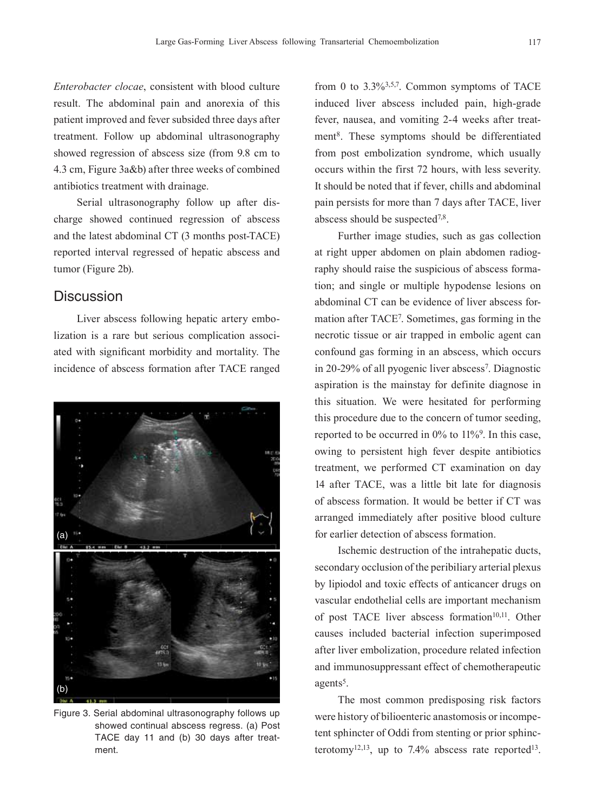*Enterobacter clocae*, consistent with blood culture result. The abdominal pain and anorexia of this patient improved and fever subsided three days after treatment. Follow up abdominal ultrasonography showed regression of abscess size (from 9.8 cm to 4.3 cm, Figure 3a&b) after three weeks of combined antibiotics treatment with drainage.

Serial ultrasonography follow up after discharge showed continued regression of abscess and the latest abdominal CT (3 months post-TACE) reported interval regressed of hepatic abscess and tumor (Figure 2b).

#### **Discussion**

Liver abscess following hepatic artery embolization is a rare but serious complication associated with significant morbidity and mortality. The incidence of abscess formation after TACE ranged



Figure 3. Serial abdominal ultrasonography follows up showed continual abscess regress. (a) Post TACE day 11 and (b) 30 days after treatment.

from 0 to  $3.3\frac{63.57}{7}$ . Common symptoms of TACE induced liver abscess included pain, high-grade fever, nausea, and vomiting 2-4 weeks after treatment8. These symptoms should be differentiated from post embolization syndrome, which usually occurs within the first 72 hours, with less severity. It should be noted that if fever, chills and abdominal pain persists for more than 7 days after TACE, liver abscess should be suspected7,8.

Further image studies, such as gas collection at right upper abdomen on plain abdomen radiography should raise the suspicious of abscess formation; and single or multiple hypodense lesions on abdominal CT can be evidence of liver abscess formation after TACE7. Sometimes, gas forming in the necrotic tissue or air trapped in embolic agent can confound gas forming in an abscess, which occurs in 20-29% of all pyogenic liver abscess<sup>7</sup>. Diagnostic aspiration is the mainstay for definite diagnose in this situation. We were hesitated for performing this procedure due to the concern of tumor seeding, reported to be occurred in  $0\%$  to  $11\%$ <sup>9</sup>. In this case, owing to persistent high fever despite antibiotics treatment, we performed CT examination on day 14 after TACE, was a little bit late for diagnosis of abscess formation. It would be better if CT was arranged immediately after positive blood culture for earlier detection of abscess formation.

Ischemic destruction of the intrahepatic ducts, secondary occlusion of the peribiliary arterial plexus by lipiodol and toxic effects of anticancer drugs on vascular endothelial cells are important mechanism of post TACE liver abscess formation<sup>10,11</sup>. Other causes included bacterial infection superimposed after liver embolization, procedure related infection and immunosuppressant effect of chemotherapeutic agents<sup>5</sup>.

The most common predisposing risk factors were history of bilioenteric anastomosis or incompetent sphincter of Oddi from stenting or prior sphincterotomy<sup>12,13</sup>, up to 7.4% abscess rate reported<sup>13</sup>.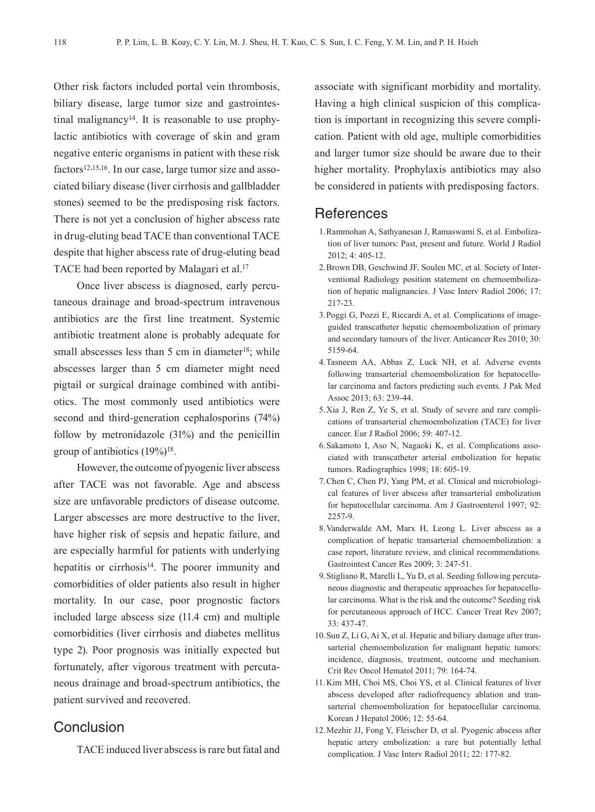Other risk factors included portal vein thrombosis, biliary disease, large tumor size and gastrointestinal malignancy<sup>14</sup>. It is reasonable to use prophylactic antibiotics with coverage of skin and gram negative enteric organisms in patient with these risk factors<sup>12,15,16</sup>. In our case, large tumor size and associated biliary disease (liver cirrhosis and gallbladder stones) seemed to be the predisposing risk factors. There is not yet a conclusion of higher abscess rate in drug-eluting bead TACE than conventional TACE despite that higher abscess rate of drug-eluting bead TACE had been reported by Malagari et al.<sup>17</sup>

Once liver abscess is diagnosed, early percutaneous drainage and broad-spectrum intravenous antibiotics are the first line treatment. Systemic antibiotic treatment alone is probably adequate for small abscesses less than  $5 \text{ cm}$  in diameter<sup>18</sup>; while abscesses larger than 5 cm diameter might need pigtail or surgical drainage combined with antibiotics. The most commonly used antibiotics were second and third-generation cephalosporins (74%) follow by metronidazole (31%) and the penicillin group of antibiotics (19%)18.

However, the outcome of pyogenic liver abscess after TACE was not favorable. Age and abscess size are unfavorable predictors of disease outcome. Larger abscesses are more destructive to the liver, have higher risk of sepsis and hepatic failure, and are especially harmful for patients with underlying hepatitis or cirrhosis<sup>14</sup>. The poorer immunity and comorbidities of older patients also result in higher mortality. In our case, poor prognostic factors included large abscess size (11.4 cm) and multiple comorbidities (liver cirrhosis and diabetes mellitus type 2). Poor prognosis was initially expected but fortunately, after vigorous treatment with percutaneous drainage and broad-spectrum antibiotics, the patient survived and recovered.

### **Conclusion**

TACE induced liver abscess is rare but fatal and

associate with significant morbidity and mortality. Having a high clinical suspicion of this complication is important in recognizing this severe complication. Patient with old age, multiple comorbidities and larger tumor size should be aware due to their higher mortality. Prophylaxis antibiotics may also be considered in patients with predisposing factors.

#### **References**

- 1.Rammohan A, Sathyanesan J, Ramaswami S, et al. Embolization of liver tumors: Past, present and future. World J Radiol 2012; 4: 405-12.
- 2.Brown DB, Geschwind JF, Soulen MC, et al. Society of Interventional Radiology position statement on chemoembolization of hepatic malignancies. J Vasc Interv Radiol 2006; 17: 217-23.
- 3.Poggi G, Pozzi E, Riccardi A, et al. Complications of imageguided transcatheter hepatic chemoembolization of primary and secondary tumours of the liver. Anticancer Res 2010; 30: 5159-64.
- 4.Tasneem AA, Abbas Z, Luck NH, et al. Adverse events following transarterial chemoembolization for hepatocellular carcinoma and factors predicting such events. J Pak Med Assoc 2013; 63: 239-44.
- 5.Xia J, Ren Z, Ye S, et al. Study of severe and rare complications of transarterial chemoembolization (TACE) for liver cancer. Eur J Radiol 2006; 59: 407-12.
- 6.Sakamoto I, Aso N, Nagaoki K, et al. Complications associated with transcatheter arterial embolization for hepatic tumors. Radiographics 1998; 18: 605-19.
- 7.Chen C, Chen PJ, Yang PM, et al. Clinical and microbiological features of liver abscess after transarterial embolization for hepatocellular carcinoma. Am J Gastroenterol 1997; 92: 2257-9.
- 8.Vanderwalde AM, Marx H, Leong L. Liver abscess as a complication of hepatic transarterial chemoembolization: a case report, literature review, and clinical recommendations. Gastrointest Cancer Res 2009; 3: 247-51.
- 9.Stigliano R, Marelli L, Yu D, et al. Seeding following percutaneous diagnostic and therapeutic approaches for hepatocellular carcinoma. What is the risk and the outcome? Seeding risk for percutaneous approach of HCC. Cancer Treat Rev 2007; 33: 437-47.
- 10.Sun Z, Li G, Ai X, et al. Hepatic and biliary damage after transarterial chemoembolization for malignant hepatic tumors: incidence, diagnosis, treatment, outcome and mechanism. Crit Rev Oncol Hematol 2011; 79: 164-74.
- 11.Kim MH, Choi MS, Choi YS, et al. Clinical features of liver abscess developed after radiofrequency ablation and transarterial chemoembolization for hepatocellular carcinoma. Korean J Hepatol 2006; 12: 55-64.
- 12.Mezhir JJ, Fong Y, Fleischer D, et al. Pyogenic abscess after hepatic artery embolization: a rare but potentially lethal complication. J Vasc Interv Radiol 2011; 22: 177-82.